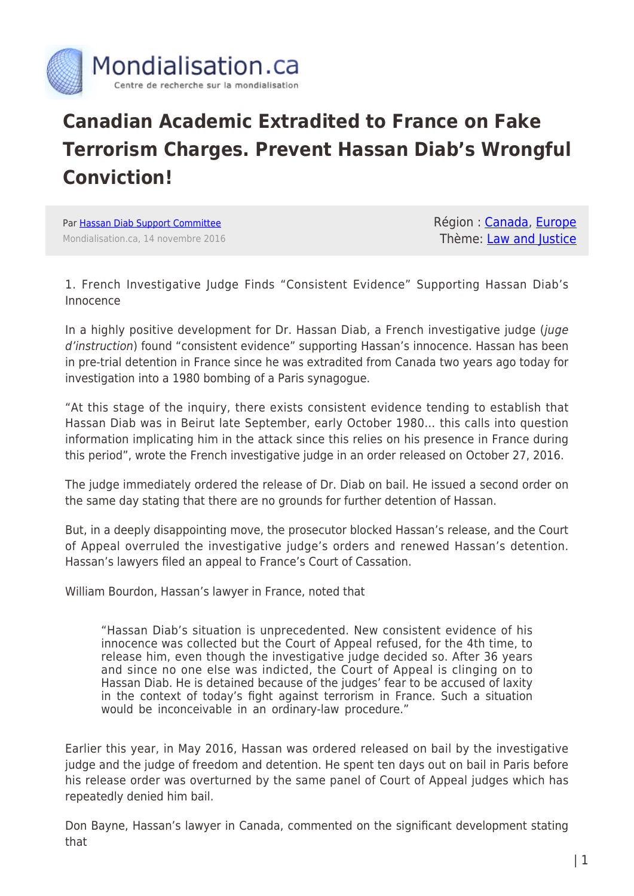

## **Canadian Academic Extradited to France on Fake Terrorism Charges. Prevent Hassan Diab's Wrongful Conviction!**

Par [Hassan Diab Support Committee](https://www.mondialisation.ca/author/hassan-diab-support-committee) Mondialisation.ca, 14 novembre 2016 Région : [Canada](https://www.mondialisation.ca/region/canada), [Europe](https://www.mondialisation.ca/region/europe) Thème: [Law and Justice](https://www.mondialisation.ca/theme/law-and-justice)

1. French Investigative Judge Finds "Consistent Evidence" Supporting Hassan Diab's Innocence

In a highly positive development for Dr. Hassan Diab, a French investigative judge (juge d'instruction) found "consistent evidence" supporting Hassan's innocence. Hassan has been in pre-trial detention in France since he was extradited from Canada two years ago today for investigation into a 1980 bombing of a Paris synagogue.

"At this stage of the inquiry, there exists consistent evidence tending to establish that Hassan Diab was in Beirut late September, early October 1980… this calls into question information implicating him in the attack since this relies on his presence in France during this period", wrote the French investigative judge in an order released on October 27, 2016.

The judge immediately ordered the release of Dr. Diab on bail. He issued a second order on the same day stating that there are no grounds for further detention of Hassan.

But, in a deeply disappointing move, the prosecutor blocked Hassan's release, and the Court of Appeal overruled the investigative judge's orders and renewed Hassan's detention. Hassan's lawyers filed an appeal to France's Court of Cassation.

William Bourdon, Hassan's lawyer in France, noted that

"Hassan Diab's situation is unprecedented. New consistent evidence of his innocence was collected but the Court of Appeal refused, for the 4th time, to release him, even though the investigative judge decided so. After 36 years and since no one else was indicted, the Court of Appeal is clinging on to Hassan Diab. He is detained because of the judges' fear to be accused of laxity in the context of today's fight against terrorism in France. Such a situation would be inconceivable in an ordinary-law procedure."

Earlier this year, in May 2016, Hassan was ordered released on bail by the investigative judge and the judge of freedom and detention. He spent ten days out on bail in Paris before his release order was overturned by the same panel of Court of Appeal judges which has repeatedly denied him bail.

Don Bayne, Hassan's lawyer in Canada, commented on the significant development stating that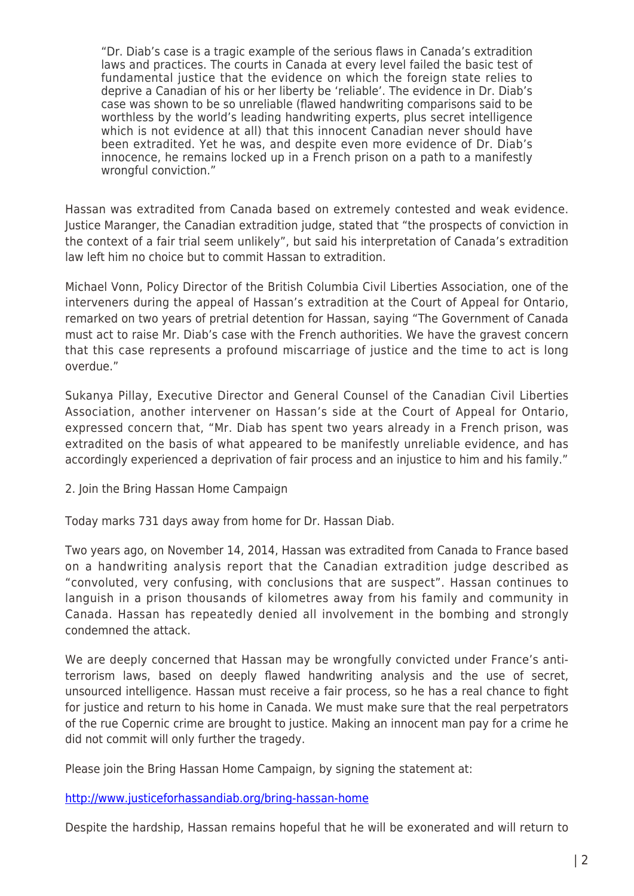"Dr. Diab's case is a tragic example of the serious flaws in Canada's extradition laws and practices. The courts in Canada at every level failed the basic test of fundamental justice that the evidence on which the foreign state relies to deprive a Canadian of his or her liberty be 'reliable'. The evidence in Dr. Diab's case was shown to be so unreliable (flawed handwriting comparisons said to be worthless by the world's leading handwriting experts, plus secret intelligence which is not evidence at all) that this innocent Canadian never should have been extradited. Yet he was, and despite even more evidence of Dr. Diab's innocence, he remains locked up in a French prison on a path to a manifestly wrongful conviction."

Hassan was extradited from Canada based on extremely contested and weak evidence. Justice Maranger, the Canadian extradition judge, stated that "the prospects of conviction in the context of a fair trial seem unlikely", but said his interpretation of Canada's extradition law left him no choice but to commit Hassan to extradition.

Michael Vonn, Policy Director of the British Columbia Civil Liberties Association, one of the interveners during the appeal of Hassan's extradition at the Court of Appeal for Ontario, remarked on two years of pretrial detention for Hassan, saying "The Government of Canada must act to raise Mr. Diab's case with the French authorities. We have the gravest concern that this case represents a profound miscarriage of justice and the time to act is long overdue."

Sukanya Pillay, Executive Director and General Counsel of the Canadian Civil Liberties Association, another intervener on Hassan's side at the Court of Appeal for Ontario, expressed concern that, "Mr. Diab has spent two years already in a French prison, was extradited on the basis of what appeared to be manifestly unreliable evidence, and has accordingly experienced a deprivation of fair process and an injustice to him and his family."

2. Join the Bring Hassan Home Campaign

Today marks 731 days away from home for Dr. Hassan Diab.

Two years ago, on November 14, 2014, Hassan was extradited from Canada to France based on a handwriting analysis report that the Canadian extradition judge described as "convoluted, very confusing, with conclusions that are suspect". Hassan continues to languish in a prison thousands of kilometres away from his family and community in Canada. Hassan has repeatedly denied all involvement in the bombing and strongly condemned the attack.

We are deeply concerned that Hassan may be wrongfully convicted under France's antiterrorism laws, based on deeply flawed handwriting analysis and the use of secret, unsourced intelligence. Hassan must receive a fair process, so he has a real chance to fight for justice and return to his home in Canada. We must make sure that the real perpetrators of the rue Copernic crime are brought to justice. Making an innocent man pay for a crime he did not commit will only further the tragedy.

Please join the Bring Hassan Home Campaign, by signing the statement at:

<http://www.justiceforhassandiab.org/bring-hassan-home>

Despite the hardship, Hassan remains hopeful that he will be exonerated and will return to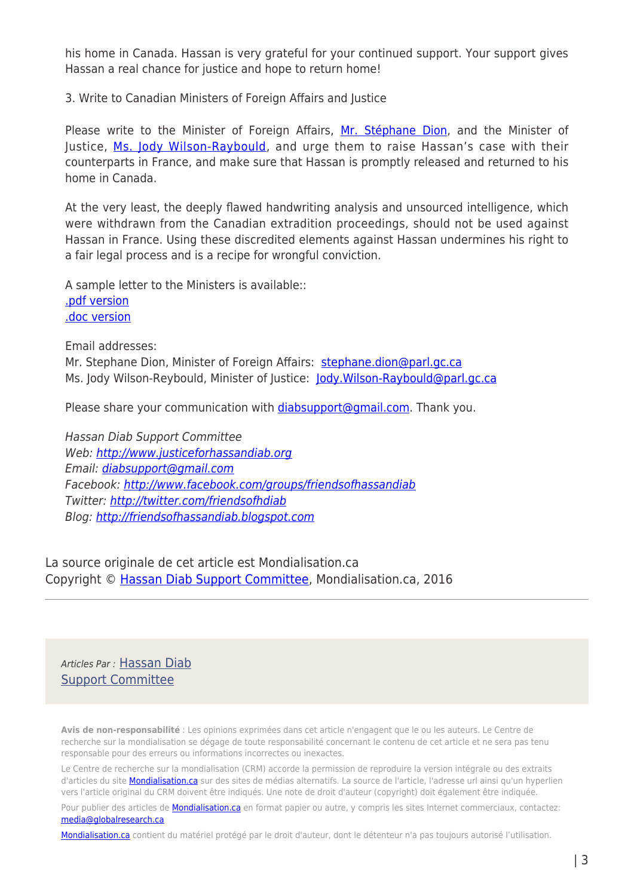his home in Canada. Hassan is very grateful for your continued support. Your support gives Hassan a real chance for justice and hope to return home!

3. Write to Canadian Ministers of Foreign Affairs and Justice

Please write to the Minister of Foreign Affairs, [Mr. Stéphane Dion](http://www.parl.gc.ca/Parliamentarians/en/members/Stephane-Dion(460)), and the Minister of Justice, [Ms. Jody Wilson-Raybould](http://www.parl.gc.ca/Parliamentarians/en/members/Jody-Wilson-Raybould(89494)), and urge them to raise Hassan's case with their counterparts in France, and make sure that Hassan is promptly released and returned to his home in Canada.

At the very least, the deeply flawed handwriting analysis and unsourced intelligence, which were withdrawn from the Canadian extradition proceedings, should not be used against Hassan in France. Using these discredited elements against Hassan undermines his right to a fair legal process and is a recipe for wrongful conviction.

A sample letter to the Ministers is available:: [.pdf version](http://www.justiceforhassandiab.org/wp-content/uploads/2016/11/Diab-Letter-to-Ministers-EN-2016-11.pdf) [.doc version](http://www.justiceforhassandiab.org/wp-content/uploads/2016/11/Diab-Letter-to-Ministers-EN-2016-11.docx)

Email addresses:

Mr. Stephane Dion, Minister of Foreign Affairs: [stephane.dion@parl.gc.ca](mailto:stephane.dion@parl.gc.ca) Ms. Jody Wilson-Reybould, Minister of Justice: Jody. Wilson-Raybould@parl.gc.ca

Please share your communication with *diabsupport@gmail.com*. Thank you.

Hassan Diab Support Committee Web: [http://www.justiceforhassandiab.org](http://www.justiceforhassandiab.org/) Email: [diabsupport@gmail.com](mailto:diabsupport@gmail.com) Facebook: <http://www.facebook.com/groups/friendsofhassandiab> Twitter: <http://twitter.com/friendsofhdiab> Blog: [http://friendsofhassandiab.blogspot.com](http://friendsofhassandiab.blogspot.com/)

La source originale de cet article est Mondialisation.ca Copyright © [Hassan Diab Support Committee](https://www.mondialisation.ca/author/hassan-diab-support-committee), Mondialisation.ca, 2016

Articles Par : [Hassan Diab](https://www.mondialisation.ca/author/hassan-diab-support-committee) [Support Committee](https://www.mondialisation.ca/author/hassan-diab-support-committee)

**Avis de non-responsabilité** : Les opinions exprimées dans cet article n'engagent que le ou les auteurs. Le Centre de recherche sur la mondialisation se dégage de toute responsabilité concernant le contenu de cet article et ne sera pas tenu responsable pour des erreurs ou informations incorrectes ou inexactes.

Le Centre de recherche sur la mondialisation (CRM) accorde la permission de reproduire la version intégrale ou des extraits d'articles du site **Mondialisation.ca** sur des sites de médias alternatifs. La source de l'article, l'adresse url ainsi qu'un hyperlien vers l'article original du CRM doivent être indiqués. Une note de droit d'auteur (copyright) doit également être indiquée.

Pour publier des articles de **[Mondialisation.ca](https://mondialisation.ca)** en format papier ou autre, y compris les sites Internet commerciaux, contactez: [media@globalresearch.ca](mailto:media@globalresearch.ca)

[Mondialisation.ca](https://mondialisation.ca) contient du matériel protégé par le droit d'auteur, dont le détenteur n'a pas toujours autorisé l'utilisation.